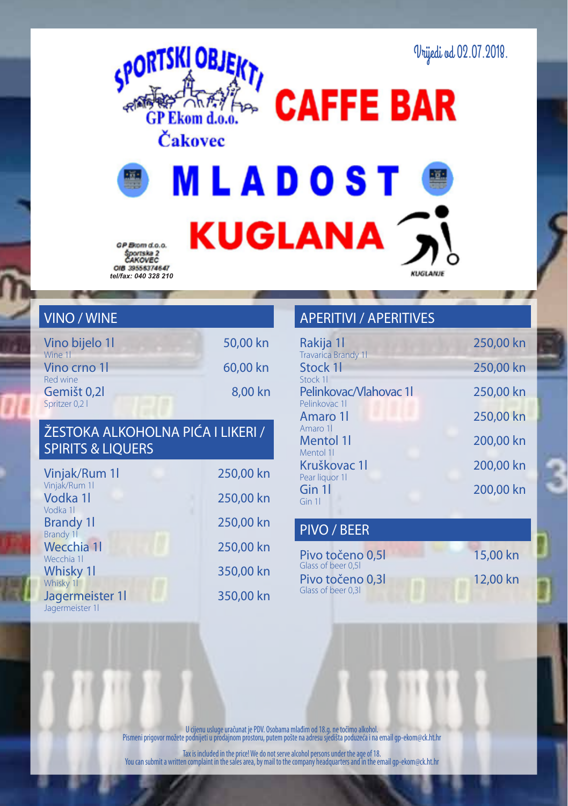



**MLADOST KUGLANA** 

GP Brom d.o.o. Športska 2<br>ČAKOVEC *tel/fax: 040 328 210*

## VINO / WINE

| Vino bijelo 11         | 50,00 kn |
|------------------------|----------|
| Wine 1<br>Vino crno 1  | 60.00 kn |
| Red wine               |          |
| Gemišt <sub>0,2l</sub> | 8.00 kn  |
| Spritzer 0,2 l         |          |

### ŽESTOKA ALKOHOLNA PIĆA I LIKERI / SPIRITS & LIQUERS

| Vinjak/Rum 1l                      | 250,00 kn |
|------------------------------------|-----------|
| Vinjak/Rum 11<br>Vodka 1l          | 250,00 kn |
| Vodka 11<br><b>Brandy 11</b>       | 250,00 kn |
| Brandy 1<br>Wecchia 11             | 250,00 kn |
| Wecchia 11<br>Whisky 11            | 350,00 kn |
| Whisky 11                          |           |
| Jagermeister 11<br>Jagermeister 11 | 350,00 kn |

### APERITIVI / APERITIVES

| Rakija 11                              | 250,00 kn |
|----------------------------------------|-----------|
| <b>Travarica Brandy 11</b><br>Stock 11 | 250,00 kn |
| Stock 11<br>Pelinkovac/Vlahovac 11     | 250,00 kn |
| Pelinkovac 11<br>Amaro 11              | 250,00 kn |
| Amaro 11                               |           |
| Mentol 1<br>Mentol 11                  | 200,00 kn |
| Kruškovac 11<br>Pear liquor 11         | 200,00 kn |
| Gin 11<br>Gin 11                       | 200,00 kn |
|                                        |           |

**KLIGEANIE** 

#### PIVO / BEER

Pivo točeno 0.5l 15,00 kn Pivo točeno 0,3l 12,00 kn Glass of beer 0,5l Glass of beer 0,3l

U cijenu usluge uračunat je PDV. Osobama mlađim od 18.g. ne točimo alkohol. Pismeni prigovor možete podnijeti u prodajnom prostoru, putem pošte na adresu sjedišta poduzeća i na email gp-ekom@ck.ht.hr

Tax is included in the price! We do not serve alcohol persons under the age of 18. You can submit a written complaint in the sales area, by mail to the company headquarters and in the email gp-ekom@ck.ht.hr